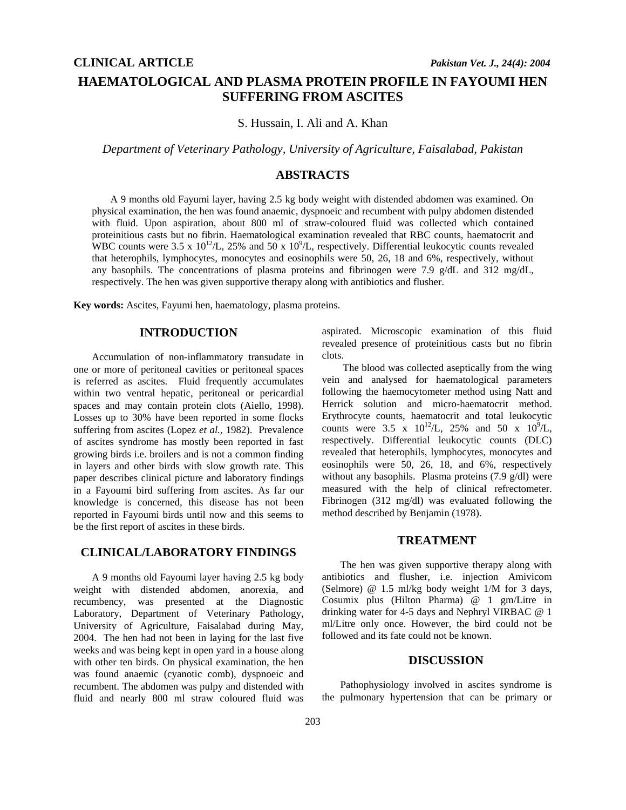# **HAEMATOLOGICAL AND PLASMA PROTEIN PROFILE IN FAYOUMI HEN SUFFERING FROM ASCITES**

S. Hussain, I. Ali and A. Khan

*Department of Veterinary Pathology, University of Agriculture, Faisalabad, Pakistan* 

## **ABSTRACTS**

A 9 months old Fayumi layer, having 2.5 kg body weight with distended abdomen was examined. On physical examination, the hen was found anaemic, dyspnoeic and recumbent with pulpy abdomen distended with fluid. Upon aspiration, about 800 ml of straw-coloured fluid was collected which contained proteinitious casts but no fibrin. Haematological examination revealed that RBC counts, haematocrit and WBC counts were 3.5 x  $10^{12}/L$ , 25% and 50 x  $10^{9}/L$ , respectively. Differential leukocytic counts revealed that heterophils, lymphocytes, monocytes and eosinophils were 50, 26, 18 and 6%, respectively, without any basophils. The concentrations of plasma proteins and fibrinogen were 7.9 g/dL and 312 mg/dL, respectively. The hen was given supportive therapy along with antibiotics and flusher.

**Key words:** Ascites, Fayumi hen, haematology, plasma proteins.

### **INTRODUCTION**

Accumulation of non-inflammatory transudate in one or more of peritoneal cavities or peritoneal spaces is referred as ascites. Fluid frequently accumulates within two ventral hepatic, peritoneal or pericardial spaces and may contain protein clots (Aiello, 1998). Losses up to 30% have been reported in some flocks suffering from ascites (Lopez *et al.,* 1982). Prevalence of ascites syndrome has mostly been reported in fast growing birds i.e. broilers and is not a common finding in layers and other birds with slow growth rate. This paper describes clinical picture and laboratory findings in a Fayoumi bird suffering from ascites. As far our knowledge is concerned, this disease has not been reported in Fayoumi birds until now and this seems to be the first report of ascites in these birds.

#### **CLINICAL/LABORATORY FINDINGS**

A 9 months old Fayoumi layer having 2.5 kg body weight with distended abdomen, anorexia, and recumbency, was presented at the Diagnostic Laboratory, Department of Veterinary Pathology, University of Agriculture, Faisalabad during May, 2004. The hen had not been in laying for the last five weeks and was being kept in open yard in a house along with other ten birds. On physical examination, the hen was found anaemic (cyanotic comb), dyspnoeic and recumbent. The abdomen was pulpy and distended with fluid and nearly 800 ml straw coloured fluid was

aspirated. Microscopic examination of this fluid revealed presence of proteinitious casts but no fibrin clots.

 The blood was collected aseptically from the wing vein and analysed for haematological parameters following the haemocytometer method using Natt and Herrick solution and micro-haematocrit method. Erythrocyte counts, haematocrit and total leukocytic counts were 3.5 x  $10^{12}$ /L, 25% and 50 x  $10^{9}$ /L, respectively. Differential leukocytic counts (DLC) revealed that heterophils, lymphocytes, monocytes and eosinophils were 50, 26, 18, and 6%, respectively without any basophils. Plasma proteins (7.9 g/dl) were measured with the help of clinical refrectometer. Fibrinogen (312 mg/dl) was evaluated following the method described by Benjamin (1978).

#### **TREATMENT**

The hen was given supportive therapy along with antibiotics and flusher, i.e. injection Amivicom (Selmore) @ 1.5 ml/kg body weight 1/M for 3 days, Cosumix plus (Hilton Pharma) @ 1 gm/Litre in drinking water for 4-5 days and Nephryl VIRBAC @ 1 ml/Litre only once. However, the bird could not be followed and its fate could not be known.

#### **DISCUSSION**

Pathophysiology involved in ascites syndrome is the pulmonary hypertension that can be primary or